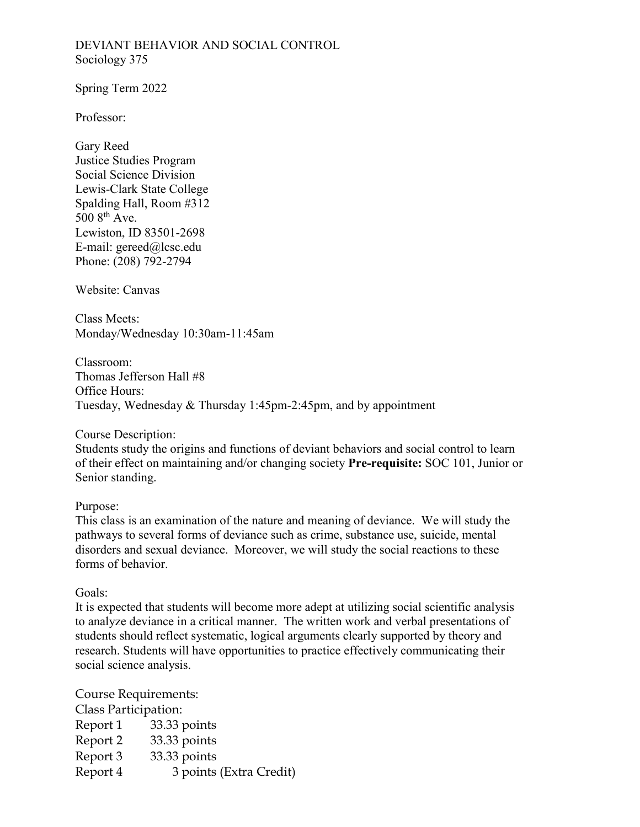### DEVIANT BEHAVIOR AND SOCIAL CONTROL Sociology 375

Spring Term 2022

Professor:

Gary Reed Justice Studies Program Social Science Division Lewis-Clark State College Spalding Hall, Room #312  $5008$ <sup>th</sup> Ave. Lewiston, ID 83501-2698 E-mail: gereed@lcsc.edu Phone: (208) 792-2794

Website: Canvas

Class Meets: Monday/Wednesday 10:30am-11:45am

Classroom: Thomas Jefferson Hall #8 Office Hours: Tuesday, Wednesday & Thursday 1:45pm-2:45pm, and by appointment

Course Description:

Students study the origins and functions of deviant behaviors and social control to learn of their effect on maintaining and/or changing society **Pre-requisite:** SOC 101, Junior or Senior standing.

#### Purpose:

This class is an examination of the nature and meaning of deviance. We will study the pathways to several forms of deviance such as crime, substance use, suicide, mental disorders and sexual deviance. Moreover, we will study the social reactions to these forms of behavior.

Goals:

It is expected that students will become more adept at utilizing social scientific analysis to analyze deviance in a critical manner. The written work and verbal presentations of students should reflect systematic, logical arguments clearly supported by theory and research. Students will have opportunities to practice effectively communicating their social science analysis.

Course Requirements: Class Participation: Report 1 33.33 points Report 2 33.33 points Report 3 33.33 points Report 4 3 points (Extra Credit)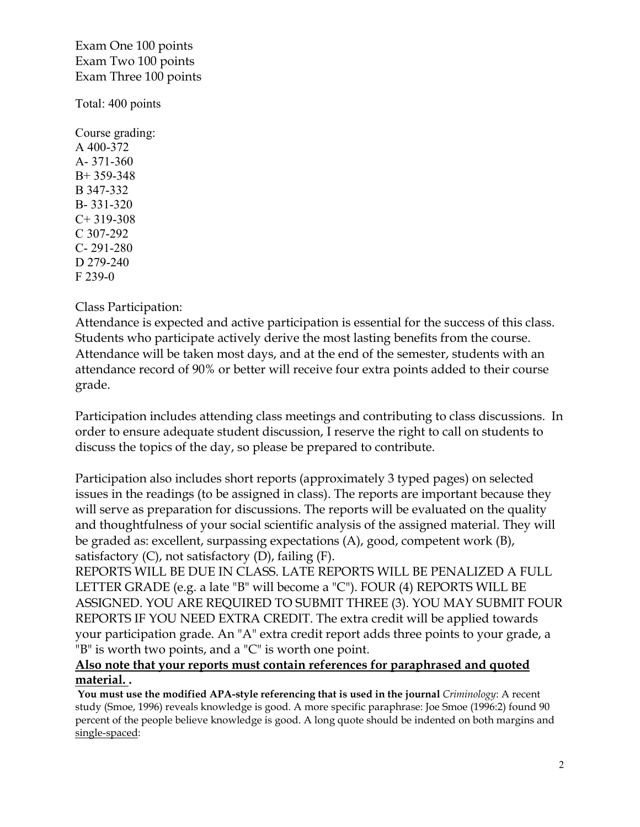Exam One 100 points Exam Two 100 points Exam Three 100 points

Total: 400 points

Course grading: A 400-372 A- 371-360 B+ 359-348 B 347-332 B- 331-320  $C+ 319-308$ C 307-292 C- 291-280 D 279-240 F 239-0

Class Participation:

Attendance is expected and active participation is essential for the success of this class. Students who participate actively derive the most lasting benefits from the course. Attendance will be taken most days, and at the end of the semester, students with an attendance record of 90% or better will receive four extra points added to their course grade.

Participation includes attending class meetings and contributing to class discussions. In order to ensure adequate student discussion, I reserve the right to call on students to discuss the topics of the day, so please be prepared to contribute.

Participation also includes short reports (approximately 3 typed pages) on selected issues in the readings (to be assigned in class). The reports are important because they will serve as preparation for discussions. The reports will be evaluated on the quality and thoughtfulness of your social scientific analysis of the assigned material. They will be graded as: excellent, surpassing expectations (A), good, competent work (B), satisfactory  $(C)$ , not satisfactory  $(D)$ , failing  $(F)$ .

REPORTS WILL BE DUE IN CLASS. LATE REPORTS WILL BE PENALIZED A FULL LETTER GRADE (e.g. a late "B" will become a "C"). FOUR (4) REPORTS WILL BE ASSIGNED. YOU ARE REQUIRED TO SUBMIT THREE (3). YOU MAY SUBMIT FOUR REPORTS IF YOU NEED EXTRA CREDIT. The extra credit will be applied towards your participation grade. An "A" extra credit report adds three points to your grade, a "B" is worth two points, and a "C" is worth one point.

# **Also note that your reports must contain references for paraphrased and quoted material. .**

**You must use the modified APA-style referencing that is used in the journal** *Criminology*: A recent study (Smoe, 1996) reveals knowledge is good. A more specific paraphrase: Joe Smoe (1996:2) found 90 percent of the people believe knowledge is good. A long quote should be indented on both margins and single-spaced: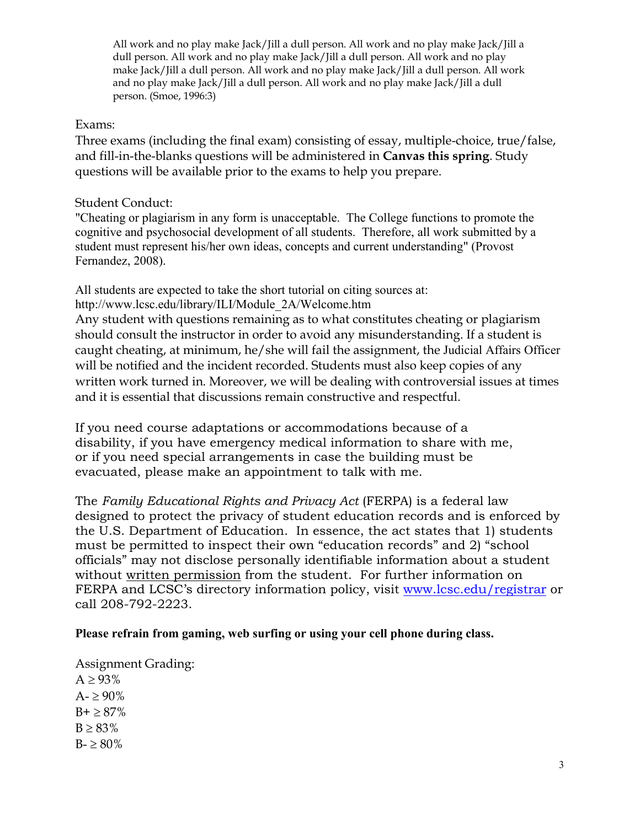All work and no play make Jack/Jill a dull person. All work and no play make Jack/Jill a dull person. All work and no play make Jack/Jill a dull person. All work and no play make Jack/Jill a dull person. All work and no play make Jack/Jill a dull person. All work and no play make Jack/Jill a dull person. All work and no play make Jack/Jill a dull person. (Smoe, 1996:3)

## Exams:

Three exams (including the final exam) consisting of essay, multiple-choice, true/false, and fill-in-the-blanks questions will be administered in **Canvas this spring**. Study questions will be available prior to the exams to help you prepare.

## Student Conduct:

"Cheating or plagiarism in any form is unacceptable. The College functions to promote the cognitive and psychosocial development of all students. Therefore, all work submitted by a student must represent his/her own ideas, concepts and current understanding" (Provost Fernandez, 2008).

All students are expected to take the short tutorial on citing sources at: http://www.lcsc.edu/library/ILI/Module\_2A/Welcome.htm

Any student with questions remaining as to what constitutes cheating or plagiarism should consult the instructor in order to avoid any misunderstanding. If a student is caught cheating, at minimum, he/she will fail the assignment, the Judicial Affairs Officer will be notified and the incident recorded. Students must also keep copies of any written work turned in. Moreover, we will be dealing with controversial issues at times and it is essential that discussions remain constructive and respectful.

If you need course adaptations or accommodations because of a disability, if you have emergency medical information to share with me, or if you need special arrangements in case the building must be evacuated, please make an appointment to talk with me.

The *Family Educational Rights and Privacy Act* (FERPA) is a federal law designed to protect the privacy of student education records and is enforced by the U.S. Department of Education. In essence, the act states that 1) students must be permitted to inspect their own "education records" and 2) "school officials" may not disclose personally identifiable information about a student without written permission from the student. For further information on FERPA and LCSC's directory information policy, visit [www.lcsc.edu/registrar](http://www.lcsc.edu/registrar) or call 208-792-2223.

## **Please refrain from gaming, web surfing or using your cell phone during class.**

Assignment Grading:  $A \geq 93\%$  $A - \geq 90\%$  $B + \geq 87\%$  $B \ge 83\%$  $B - \ge 80\%$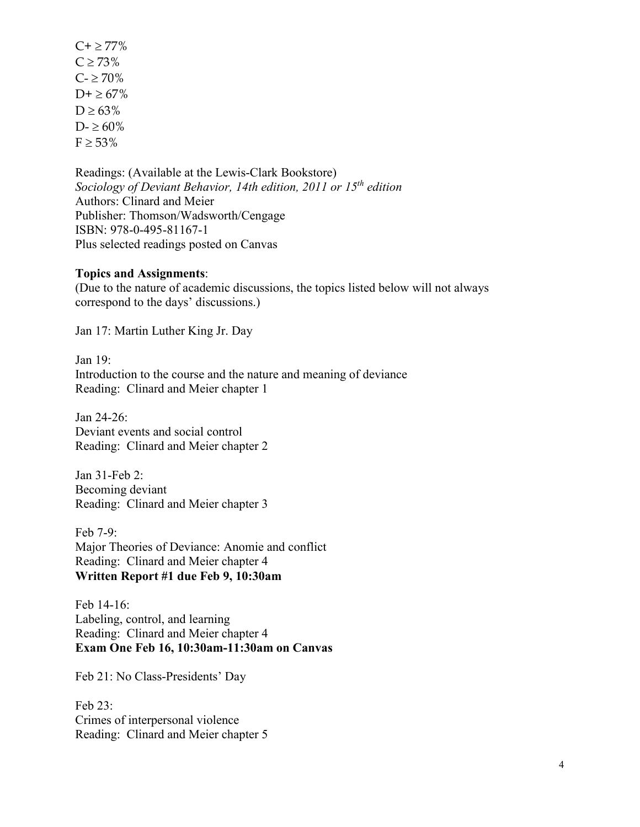$C + \geq 77\%$  $C \ge 73\%$  $C - \geq 70\%$  $D+ \geq 67\%$  $D \ge 63\%$  $D - \geq 60\%$  $F \geq 53\%$ 

Readings: (Available at the Lewis-Clark Bookstore) *Sociology of Deviant Behavior, 14th edition, 2011 or 15th edition* Authors: Clinard and Meier Publisher: Thomson/Wadsworth/Cengage ISBN: 978-0-495-81167-1 Plus selected readings posted on Canvas

#### **Topics and Assignments**:

(Due to the nature of academic discussions, the topics listed below will not always correspond to the days' discussions.)

Jan 17: Martin Luther King Jr. Day

Jan 19: Introduction to the course and the nature and meaning of deviance Reading: Clinard and Meier chapter 1

Jan 24-26: Deviant events and social control Reading: Clinard and Meier chapter 2

Jan 31-Feb 2: Becoming deviant Reading: Clinard and Meier chapter 3

Feb 7-9: Major Theories of Deviance: Anomie and conflict Reading: Clinard and Meier chapter 4 **Written Report #1 due Feb 9, 10:30am**

Feb 14-16: Labeling, control, and learning Reading: Clinard and Meier chapter 4 **Exam One Feb 16, 10:30am-11:30am on Canvas**

Feb 21: No Class-Presidents' Day

Feb 23: Crimes of interpersonal violence Reading: Clinard and Meier chapter 5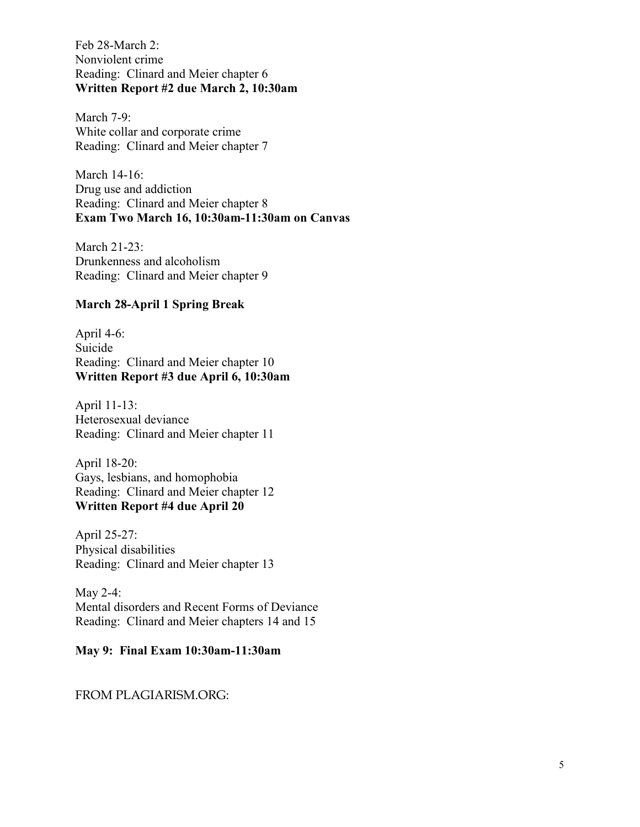Feb 28-March 2: Nonviolent crime Reading: Clinard and Meier chapter 6 **Written Report #2 due March 2, 10:30am**

March 7-9: White collar and corporate crime Reading: Clinard and Meier chapter 7

March 14-16: Drug use and addiction Reading: Clinard and Meier chapter 8 **Exam Two March 16, 10:30am-11:30am on Canvas**

March 21-23: Drunkenness and alcoholism Reading: Clinard and Meier chapter 9

## **March 28-April 1 Spring Break**

April 4-6: Suicide Reading: Clinard and Meier chapter 10 **Written Report #3 due April 6, 10:30am**

April 11-13: Heterosexual deviance Reading: Clinard and Meier chapter 11

April 18-20: Gays, lesbians, and homophobia Reading: Clinard and Meier chapter 12 **Written Report #4 due April 20**

April 25-27: Physical disabilities Reading: Clinard and Meier chapter 13

May 2-4: Mental disorders and Recent Forms of Deviance Reading: Clinard and Meier chapters 14 and 15

### **May 9: Final Exam 10:30am-11:30am**

FROM PLAGIARISM.ORG: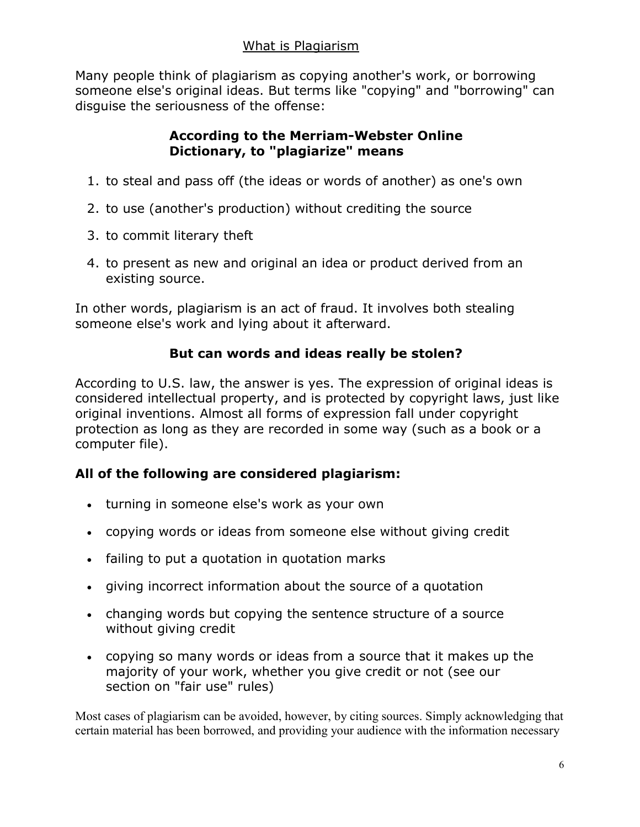Many people think of plagiarism as copying another's work, or borrowing someone else's original ideas. But terms like "copying" and "borrowing" can disguise the seriousness of the offense:

# **According to the Merriam-Webster Online Dictionary, to "plagiarize" means**

- 1. to steal and pass off (the ideas or words of another) as one's own
- 2. to use (another's production) without crediting the source
- 3. to commit literary theft
- 4. to present as new and original an idea or product derived from an existing source.

In other words, plagiarism is an act of fraud. It involves both stealing someone else's work and lying about it afterward.

# **But can words and ideas really be stolen?**

According to U.S. law, the answer is yes. The expression of original ideas is considered intellectual property, and is protected by copyright laws, just like original inventions. Almost all forms of expression fall under copyright protection as long as they are recorded in some way (such as a book or a computer file).

# **All of the following are considered plagiarism:**

- turning in someone else's work as your own
- copying words or ideas from someone else without giving credit
- failing to put a quotation in quotation marks
- giving incorrect information about the source of a quotation
- changing words but copying the sentence structure of a source without giving credit
- copying so many words or ideas from a source that it makes up the majority of your work, whether you give credit or not (see our section on "fair use" rules)

Most cases of plagiarism can be avoided, however, by citing sources. Simply acknowledging that certain material has been borrowed, and providing your audience with the information necessary